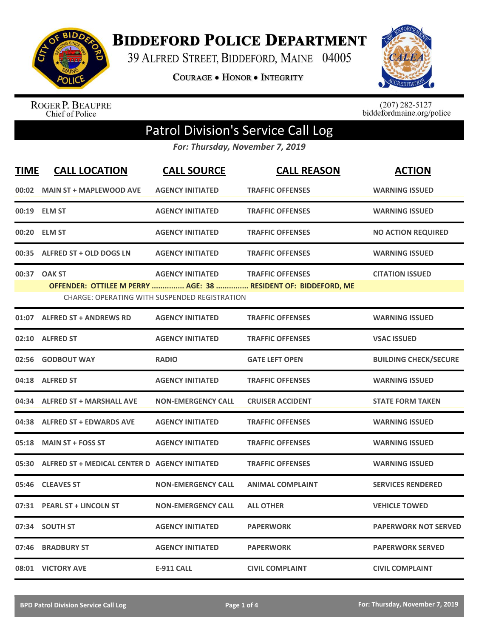

**BIDDEFORD POLICE DEPARTMENT** 

39 ALFRED STREET, BIDDEFORD, MAINE 04005

**COURAGE . HONOR . INTEGRITY** 



ROGER P. BEAUPRE<br>Chief of Police

 $(207)$  282-5127<br>biddefordmaine.org/police

## Patrol Division's Service Call Log

*For: Thursday, November 7, 2019*

| <b>TIME</b> | <b>CALL LOCATION</b>                          | <b>CALL SOURCE</b>                                                              | <b>CALL REASON</b>                                                                        | <b>ACTION</b>                |
|-------------|-----------------------------------------------|---------------------------------------------------------------------------------|-------------------------------------------------------------------------------------------|------------------------------|
|             | 00:02 MAIN ST + MAPLEWOOD AVE                 | <b>AGENCY INITIATED</b>                                                         | <b>TRAFFIC OFFENSES</b>                                                                   | <b>WARNING ISSUED</b>        |
|             | 00:19 ELM ST                                  | <b>AGENCY INITIATED</b>                                                         | <b>TRAFFIC OFFENSES</b>                                                                   | <b>WARNING ISSUED</b>        |
|             | 00:20 ELM ST                                  | <b>AGENCY INITIATED</b>                                                         | <b>TRAFFIC OFFENSES</b>                                                                   | <b>NO ACTION REQUIRED</b>    |
| 00:35       | ALFRED ST + OLD DOGS LN                       | <b>AGENCY INITIATED</b>                                                         | <b>TRAFFIC OFFENSES</b>                                                                   | <b>WARNING ISSUED</b>        |
|             | 00:37 OAK ST                                  | <b>AGENCY INITIATED</b><br><b>CHARGE: OPERATING WITH SUSPENDED REGISTRATION</b> | <b>TRAFFIC OFFENSES</b><br>OFFENDER: OTTILEE M PERRY  AGE: 38  RESIDENT OF: BIDDEFORD, ME | <b>CITATION ISSUED</b>       |
| 01:07       | <b>ALFRED ST + ANDREWS RD</b>                 | <b>AGENCY INITIATED</b>                                                         | <b>TRAFFIC OFFENSES</b>                                                                   | <b>WARNING ISSUED</b>        |
| 02:10       | <b>ALFRED ST</b>                              | <b>AGENCY INITIATED</b>                                                         | <b>TRAFFIC OFFENSES</b>                                                                   | <b>VSAC ISSUED</b>           |
| 02:56       | <b>GODBOUT WAY</b>                            | <b>RADIO</b>                                                                    | <b>GATE LEFT OPEN</b>                                                                     | <b>BUILDING CHECK/SECURE</b> |
|             | 04:18 ALFRED ST                               | <b>AGENCY INITIATED</b>                                                         | <b>TRAFFIC OFFENSES</b>                                                                   | <b>WARNING ISSUED</b>        |
| 04:34       | <b>ALFRED ST + MARSHALL AVE</b>               | <b>NON-EMERGENCY CALL</b>                                                       | <b>CRUISER ACCIDENT</b>                                                                   | <b>STATE FORM TAKEN</b>      |
| 04:38       | <b>ALFRED ST + EDWARDS AVE</b>                | <b>AGENCY INITIATED</b>                                                         | <b>TRAFFIC OFFENSES</b>                                                                   | <b>WARNING ISSUED</b>        |
|             | 05:18 MAIN ST + FOSS ST                       | <b>AGENCY INITIATED</b>                                                         | <b>TRAFFIC OFFENSES</b>                                                                   | <b>WARNING ISSUED</b>        |
| 05:30       | ALFRED ST + MEDICAL CENTER D AGENCY INITIATED |                                                                                 | <b>TRAFFIC OFFENSES</b>                                                                   | <b>WARNING ISSUED</b>        |
| 05:46       | <b>CLEAVES ST</b>                             | <b>NON-EMERGENCY CALL</b>                                                       | <b>ANIMAL COMPLAINT</b>                                                                   | <b>SERVICES RENDERED</b>     |
| 07:31       | <b>PEARL ST + LINCOLN ST</b>                  | <b>NON-EMERGENCY CALL</b>                                                       | <b>ALL OTHER</b>                                                                          | <b>VEHICLE TOWED</b>         |
| 07:34       | <b>SOUTH ST</b>                               | <b>AGENCY INITIATED</b>                                                         | <b>PAPERWORK</b>                                                                          | <b>PAPERWORK NOT SERVED</b>  |
| 07:46       | <b>BRADBURY ST</b>                            | <b>AGENCY INITIATED</b>                                                         | <b>PAPERWORK</b>                                                                          | <b>PAPERWORK SERVED</b>      |
|             | 08:01 VICTORY AVE                             | <b>E-911 CALL</b>                                                               | <b>CIVIL COMPLAINT</b>                                                                    | <b>CIVIL COMPLAINT</b>       |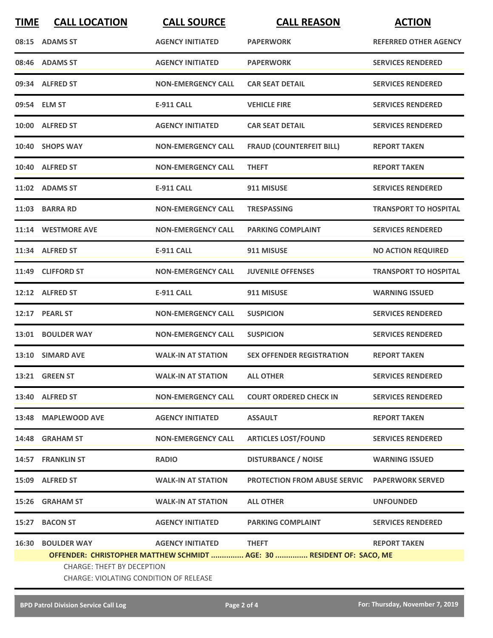| <b>TIME</b> | <b>CALL LOCATION</b>                   | <b>CALL SOURCE</b>        | <b>CALL REASON</b>                                                    | <b>ACTION</b>                |  |  |
|-------------|----------------------------------------|---------------------------|-----------------------------------------------------------------------|------------------------------|--|--|
|             | 08:15 ADAMS ST                         | <b>AGENCY INITIATED</b>   | <b>PAPERWORK</b>                                                      | <b>REFERRED OTHER AGENCY</b> |  |  |
|             | 08:46 ADAMS ST                         | <b>AGENCY INITIATED</b>   | <b>PAPERWORK</b>                                                      | <b>SERVICES RENDERED</b>     |  |  |
|             | 09:34 ALFRED ST                        | <b>NON-EMERGENCY CALL</b> | <b>CAR SEAT DETAIL</b>                                                | <b>SERVICES RENDERED</b>     |  |  |
|             | 09:54 ELM ST                           | <b>E-911 CALL</b>         | <b>VEHICLE FIRE</b>                                                   | <b>SERVICES RENDERED</b>     |  |  |
|             | 10:00 ALFRED ST                        | <b>AGENCY INITIATED</b>   | <b>CAR SEAT DETAIL</b>                                                | <b>SERVICES RENDERED</b>     |  |  |
|             | 10:40 SHOPS WAY                        | <b>NON-EMERGENCY CALL</b> | <b>FRAUD (COUNTERFEIT BILL)</b>                                       | <b>REPORT TAKEN</b>          |  |  |
|             | 10:40 ALFRED ST                        | <b>NON-EMERGENCY CALL</b> | <b>THEFT</b>                                                          | <b>REPORT TAKEN</b>          |  |  |
|             | 11:02 ADAMS ST                         | <b>E-911 CALL</b>         | 911 MISUSE                                                            | <b>SERVICES RENDERED</b>     |  |  |
|             | 11:03 BARRA RD                         | <b>NON-EMERGENCY CALL</b> | <b>TRESPASSING</b>                                                    | <b>TRANSPORT TO HOSPITAL</b> |  |  |
|             | 11:14 WESTMORE AVE                     | <b>NON-EMERGENCY CALL</b> | <b>PARKING COMPLAINT</b>                                              | <b>SERVICES RENDERED</b>     |  |  |
|             | 11:34 ALFRED ST                        | <b>E-911 CALL</b>         | 911 MISUSE                                                            | <b>NO ACTION REQUIRED</b>    |  |  |
|             | 11:49 CLIFFORD ST                      | <b>NON-EMERGENCY CALL</b> | <b>JUVENILE OFFENSES</b>                                              | <b>TRANSPORT TO HOSPITAL</b> |  |  |
|             | 12:12 ALFRED ST                        | <b>E-911 CALL</b>         | 911 MISUSE                                                            | <b>WARNING ISSUED</b>        |  |  |
|             | 12:17 PEARL ST                         | <b>NON-EMERGENCY CALL</b> | <b>SUSPICION</b>                                                      | <b>SERVICES RENDERED</b>     |  |  |
|             | 13:01 BOULDER WAY                      | <b>NON-EMERGENCY CALL</b> | <b>SUSPICION</b>                                                      | <b>SERVICES RENDERED</b>     |  |  |
|             | 13:10 SIMARD AVE                       | <b>WALK-IN AT STATION</b> | <b>SEX OFFENDER REGISTRATION</b>                                      | <b>REPORT TAKEN</b>          |  |  |
|             | <b>13:21 GREEN ST</b>                  | <b>WALK-IN AT STATION</b> | <b>ALL OTHER</b>                                                      | <b>SERVICES RENDERED</b>     |  |  |
|             | 13:40 ALFRED ST                        | <b>NON-EMERGENCY CALL</b> | <b>COURT ORDERED CHECK IN</b>                                         | <b>SERVICES RENDERED</b>     |  |  |
|             | 13:48 MAPLEWOOD AVE                    | <b>AGENCY INITIATED</b>   | <b>ASSAULT</b>                                                        | <b>REPORT TAKEN</b>          |  |  |
|             | 14:48 GRAHAM ST                        | <b>NON-EMERGENCY CALL</b> | <b>ARTICLES LOST/FOUND</b>                                            | <b>SERVICES RENDERED</b>     |  |  |
|             | 14:57 FRANKLIN ST                      | <b>RADIO</b>              | <b>DISTURBANCE / NOISE</b>                                            | <b>WARNING ISSUED</b>        |  |  |
|             | 15:09 ALFRED ST                        | <b>WALK-IN AT STATION</b> | <b>PROTECTION FROM ABUSE SERVIC</b>                                   | <b>PAPERWORK SERVED</b>      |  |  |
|             | 15:26 GRAHAM ST                        | <b>WALK-IN AT STATION</b> | <b>ALL OTHER</b>                                                      | <b>UNFOUNDED</b>             |  |  |
|             | 15:27 BACON ST                         | <b>AGENCY INITIATED</b>   | <b>PARKING COMPLAINT</b>                                              | <b>SERVICES RENDERED</b>     |  |  |
| 16:30       | <b>BOULDER WAY</b>                     | <b>AGENCY INITIATED</b>   | <b>THEFT</b>                                                          | <b>REPORT TAKEN</b>          |  |  |
|             |                                        |                           | OFFENDER: CHRISTOPHER MATTHEW SCHMIDT  AGE: 30  RESIDENT OF: SACO, ME |                              |  |  |
|             | <b>CHARGE: THEFT BY DECEPTION</b>      |                           |                                                                       |                              |  |  |
|             | CHARGE: VIOLATING CONDITION OF RELEASE |                           |                                                                       |                              |  |  |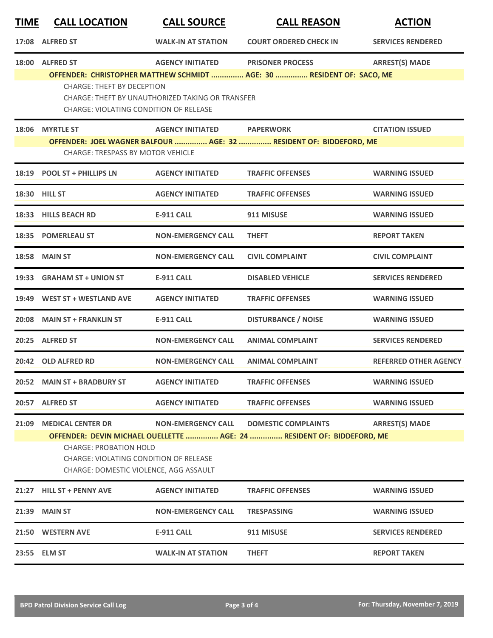| <u>TIME</u> | <b>CALL LOCATION</b>                                                                                                                                                                               | <b>CALL SOURCE</b>        | <b>CALL REASON</b>                                                                               | <b>ACTION</b>                |  |  |  |
|-------------|----------------------------------------------------------------------------------------------------------------------------------------------------------------------------------------------------|---------------------------|--------------------------------------------------------------------------------------------------|------------------------------|--|--|--|
| 17:08       | <b>ALFRED ST</b>                                                                                                                                                                                   | <b>WALK-IN AT STATION</b> | <b>COURT ORDERED CHECK IN</b>                                                                    | <b>SERVICES RENDERED</b>     |  |  |  |
|             | 18:00 ALFRED ST                                                                                                                                                                                    | <b>AGENCY INITIATED</b>   | <b>PRISONER PROCESS</b><br>OFFENDER: CHRISTOPHER MATTHEW SCHMIDT  AGE: 30  RESIDENT OF: SACO, ME | <b>ARREST(S) MADE</b>        |  |  |  |
|             | <b>CHARGE: THEFT BY DECEPTION</b><br>CHARGE: THEFT BY UNAUTHORIZED TAKING OR TRANSFER<br><b>CHARGE: VIOLATING CONDITION OF RELEASE</b>                                                             |                           |                                                                                                  |                              |  |  |  |
|             | 18:06 MYRTLE ST                                                                                                                                                                                    | <b>AGENCY INITIATED</b>   | <b>PAPERWORK</b>                                                                                 | <b>CITATION ISSUED</b>       |  |  |  |
|             | <b>CHARGE: TRESPASS BY MOTOR VEHICLE</b>                                                                                                                                                           |                           | OFFENDER: JOEL WAGNER BALFOUR  AGE: 32  RESIDENT OF: BIDDEFORD, ME                               |                              |  |  |  |
|             | 18:19 POOL ST + PHILLIPS LN                                                                                                                                                                        | <b>AGENCY INITIATED</b>   | <b>TRAFFIC OFFENSES</b>                                                                          | <b>WARNING ISSUED</b>        |  |  |  |
|             | 18:30 HILL ST                                                                                                                                                                                      | <b>AGENCY INITIATED</b>   | <b>TRAFFIC OFFENSES</b>                                                                          | <b>WARNING ISSUED</b>        |  |  |  |
|             | 18:33 HILLS BEACH RD                                                                                                                                                                               | <b>E-911 CALL</b>         | 911 MISUSE                                                                                       | <b>WARNING ISSUED</b>        |  |  |  |
|             | 18:35 POMERLEAU ST                                                                                                                                                                                 | <b>NON-EMERGENCY CALL</b> | <b>THEFT</b>                                                                                     | <b>REPORT TAKEN</b>          |  |  |  |
|             | 18:58 MAIN ST                                                                                                                                                                                      | <b>NON-EMERGENCY CALL</b> | <b>CIVIL COMPLAINT</b>                                                                           | <b>CIVIL COMPLAINT</b>       |  |  |  |
| 19:33       | <b>GRAHAM ST + UNION ST</b>                                                                                                                                                                        | <b>E-911 CALL</b>         | <b>DISABLED VEHICLE</b>                                                                          | <b>SERVICES RENDERED</b>     |  |  |  |
|             | 19:49 WEST ST + WESTLAND AVE                                                                                                                                                                       | <b>AGENCY INITIATED</b>   | <b>TRAFFIC OFFENSES</b>                                                                          | <b>WARNING ISSUED</b>        |  |  |  |
|             | 20:08 MAIN ST + FRANKLIN ST                                                                                                                                                                        | <b>E-911 CALL</b>         | <b>DISTURBANCE / NOISE</b>                                                                       | <b>WARNING ISSUED</b>        |  |  |  |
|             | 20:25 ALFRED ST                                                                                                                                                                                    | <b>NON-EMERGENCY CALL</b> | <b>ANIMAL COMPLAINT</b>                                                                          | <b>SERVICES RENDERED</b>     |  |  |  |
|             | 20:42 OLD ALFRED RD                                                                                                                                                                                | <b>NON-EMERGENCY CALL</b> | <b>ANIMAL COMPLAINT</b>                                                                          | <b>REFERRED OTHER AGENCY</b> |  |  |  |
|             | 20:52 MAIN ST + BRADBURY ST                                                                                                                                                                        | <b>AGENCY INITIATED</b>   | <b>TRAFFIC OFFENSES</b>                                                                          | <b>WARNING ISSUED</b>        |  |  |  |
|             | 20:57 ALFRED ST                                                                                                                                                                                    | <b>AGENCY INITIATED</b>   | <b>TRAFFIC OFFENSES</b>                                                                          | <b>WARNING ISSUED</b>        |  |  |  |
|             | 21:09 MEDICAL CENTER DR                                                                                                                                                                            | <b>NON-EMERGENCY CALL</b> | <b>DOMESTIC COMPLAINTS</b>                                                                       | <b>ARREST(S) MADE</b>        |  |  |  |
|             | OFFENDER: DEVIN MICHAEL OUELLETTE  AGE: 24  RESIDENT OF: BIDDEFORD, ME<br><b>CHARGE: PROBATION HOLD</b><br><b>CHARGE: VIOLATING CONDITION OF RELEASE</b><br>CHARGE: DOMESTIC VIOLENCE, AGG ASSAULT |                           |                                                                                                  |                              |  |  |  |
|             | 21:27 HILL ST + PENNY AVE                                                                                                                                                                          | <b>AGENCY INITIATED</b>   | <b>TRAFFIC OFFENSES</b>                                                                          | <b>WARNING ISSUED</b>        |  |  |  |
|             | 21:39 MAIN ST                                                                                                                                                                                      | <b>NON-EMERGENCY CALL</b> | <b>TRESPASSING</b>                                                                               | <b>WARNING ISSUED</b>        |  |  |  |
|             | 21:50 WESTERN AVE                                                                                                                                                                                  | E-911 CALL                | 911 MISUSE                                                                                       | <b>SERVICES RENDERED</b>     |  |  |  |
|             | 23:55 ELM ST                                                                                                                                                                                       | <b>WALK-IN AT STATION</b> | <b>THEFT</b>                                                                                     | <b>REPORT TAKEN</b>          |  |  |  |